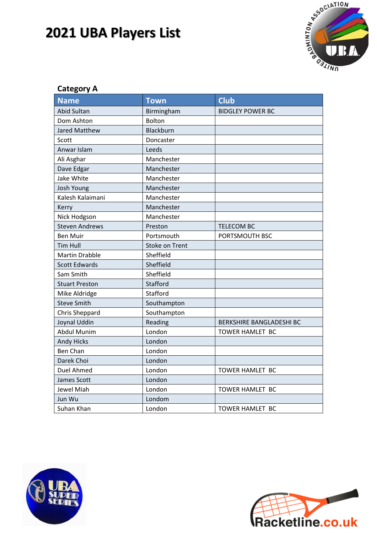

#### **Category A**

| <b>Name</b>           | <b>Town</b>           | <b>Club</b>                     |
|-----------------------|-----------------------|---------------------------------|
| <b>Abid Sultan</b>    | Birmingham            | <b>BIDGLEY POWER BC</b>         |
| Dom Ashton            | Bolton                |                                 |
| <b>Jared Matthew</b>  | Blackburn             |                                 |
| Scott                 | Doncaster             |                                 |
| Anwar Islam           | Leeds                 |                                 |
| Ali Asghar            | Manchester            |                                 |
| Dave Edgar            | Manchester            |                                 |
| Jake White            | Manchester            |                                 |
| Josh Young            | Manchester            |                                 |
| Kalesh Kalaimani      | Manchester            |                                 |
| Kerry                 | Manchester            |                                 |
| Nick Hodgson          | Manchester            |                                 |
| <b>Steven Andrews</b> | Preston               | <b>TELECOM BC</b>               |
| <b>Ben Muir</b>       | Portsmouth            | PORTSMOUTH BSC                  |
| <b>Tim Hull</b>       | <b>Stoke on Trent</b> |                                 |
| <b>Martin Drabble</b> | Sheffield             |                                 |
| <b>Scott Edwards</b>  | Sheffield             |                                 |
| Sam Smith             | Sheffield             |                                 |
| <b>Stuart Preston</b> | Stafford              |                                 |
| Mike Aldridge         | Stafford              |                                 |
| <b>Steve Smith</b>    | Southampton           |                                 |
| <b>Chris Sheppard</b> | Southampton           |                                 |
| Joynal Uddin          | Reading               | <b>BERKSHIRE BANGLADESHI BC</b> |
| <b>Abdul Munim</b>    | London                | TOWER HAMLET BC                 |
| <b>Andy Hicks</b>     | London                |                                 |
| <b>Ben Chan</b>       | London                |                                 |
| Darek Choi            | London                |                                 |
| Duel Ahmed            | London                | <b>TOWER HAMLET BC</b>          |
| James Scott           | London                |                                 |
| Jewel Miah            | London                | TOWER HAMLET BC                 |
| Jun Wu                | Londom                |                                 |
| Suhan Khan            | London                | TOWER HAMLET BC                 |



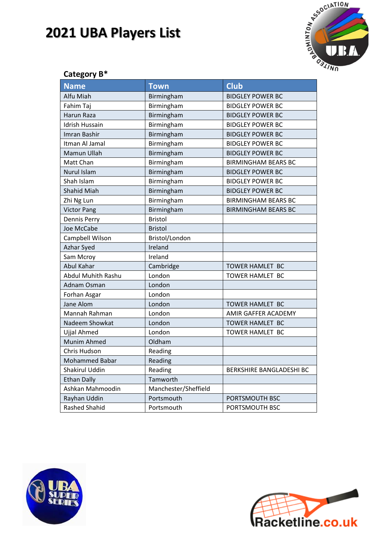

| Category B*           |                      |                                 |
|-----------------------|----------------------|---------------------------------|
| <b>Name</b>           | <b>Town</b>          | <b>Club</b>                     |
| Alfu Miah             | Birmingham           | <b>BIDGLEY POWER BC</b>         |
| Fahim Taj             | Birmingham           | <b>BIDGLEY POWER BC</b>         |
| Harun Raza            | Birmingham           | <b>BIDGLEY POWER BC</b>         |
| <b>Idrish Hussain</b> | Birmingham           | <b>BIDGLEY POWER BC</b>         |
| <b>Imran Bashir</b>   | Birmingham           | <b>BIDGLEY POWER BC</b>         |
| Itman Al Jamal        | Birmingham           | <b>BIDGLEY POWER BC</b>         |
| Mamun Ullah           | Birmingham           | <b>BIDGLEY POWER BC</b>         |
| Matt Chan             | Birmingham           | <b>BIRMINGHAM BEARS BC</b>      |
| <b>Nurul Islam</b>    | Birmingham           | <b>BIDGLEY POWER BC</b>         |
| Shah Islam            | Birmingham           | <b>BIDGLEY POWER BC</b>         |
| <b>Shahid Miah</b>    | Birmingham           | <b>BIDGLEY POWER BC</b>         |
| Zhi Ng Lun            | Birmingham           | <b>BIRMINGHAM BEARS BC</b>      |
| <b>Victor Pang</b>    | Birmingham           | <b>BIRMINGHAM BEARS BC</b>      |
| Dennis Perry          | <b>Bristol</b>       |                                 |
| Joe McCabe            | <b>Bristol</b>       |                                 |
| Campbell Wilson       | Bristol/London       |                                 |
| Azhar Syed            | Ireland              |                                 |
| Sam Mcroy             | Ireland              |                                 |
| Abul Kahar            | Cambridge            | TOWER HAMLET BC                 |
| Abdul Muhith Rashu    | London               | TOWER HAMLET BC                 |
| Adnam Osman           | London               |                                 |
| Forhan Asgar          | London               |                                 |
| Jane Alom             | London               | TOWER HAMLET BC                 |
| Mannah Rahman         | London               | AMIR GAFFER ACADEMY             |
| Nadeem Showkat        | London               | <b>TOWER HAMLET BC</b>          |
| Ujjal Ahmed           | London               | TOWER HAMLET BC                 |
| Munim Ahmed           | Oldham               |                                 |
| Chris Hudson          | Reading              |                                 |
| <b>Mohammed Babar</b> | Reading              |                                 |
| Shakirul Uddin        | Reading              | <b>BERKSHIRE BANGLADESHI BC</b> |
| <b>Ethan Dally</b>    | Tamworth             |                                 |
| Ashkan Mahmoodin      | Manchester/Sheffield |                                 |
| Rayhan Uddin          | Portsmouth           | PORTSMOUTH BSC                  |
| Rashed Shahid         | Portsmouth           | PORTSMOUTH BSC                  |



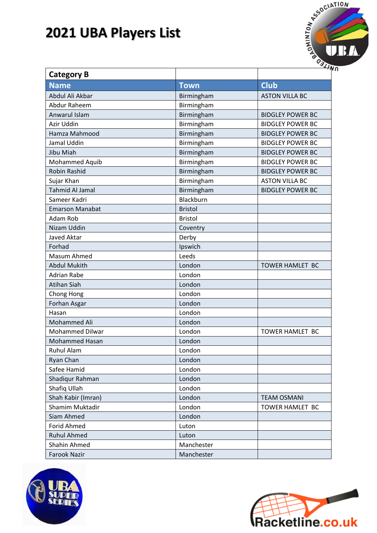

| <b>Category B</b>      |                |                         |
|------------------------|----------------|-------------------------|
| <b>Name</b>            | <b>Town</b>    | <b>Club</b>             |
| Abdul Ali Akbar        | Birmingham     | <b>ASTON VILLA BC</b>   |
| <b>Abdur Raheem</b>    | Birmingham     |                         |
| Anwarul Islam          | Birmingham     | <b>BIDGLEY POWER BC</b> |
| Azir Uddin             | Birmingham     | <b>BIDGLEY POWER BC</b> |
| Hamza Mahmood          | Birmingham     | <b>BIDGLEY POWER BC</b> |
| Jamal Uddin            | Birmingham     | <b>BIDGLEY POWER BC</b> |
| Jibu Miah              | Birmingham     | <b>BIDGLEY POWER BC</b> |
| Mohammed Aquib         | Birmingham     | <b>BIDGLEY POWER BC</b> |
| Robin Rashid           | Birmingham     | <b>BIDGLEY POWER BC</b> |
| Sujar Khan             | Birmingham     | <b>ASTON VILLA BC</b>   |
| <b>Tahmid Al Jamal</b> | Birmingham     | <b>BIDGLEY POWER BC</b> |
| Sameer Kadri           | Blackburn      |                         |
| <b>Emarson Manabat</b> | <b>Bristol</b> |                         |
| Adam Rob               | <b>Bristol</b> |                         |
| Nizam Uddin            | Coventry       |                         |
| Javed Aktar            | Derby          |                         |
| Forhad                 | Ipswich        |                         |
| Masum Ahmed            | Leeds          |                         |
| <b>Abdul Mukith</b>    | London         | TOWER HAMLET BC         |
| <b>Adrian Rabe</b>     | London         |                         |
| <b>Atihan Siah</b>     | London         |                         |
| Chong Hong             | London         |                         |
| Forhan Asgar           | London         |                         |
| Hasan                  | London         |                         |
| Mohammed Ali           | London         |                         |
| <b>Mohammed Dilwar</b> | London         | TOWER HAMLET BC         |
| <b>Mohammed Hasan</b>  | London         |                         |
| <b>Ruhul Alam</b>      | London         |                         |
| Ryan Chan              | London         |                         |
| Safee Hamid            | London         |                         |
| Shadiqur Rahman        | London         |                         |
| Shafiq Ullah           | London         |                         |
| Shah Kabir (Imran)     | London         | <b>TEAM OSMANI</b>      |
| Shamim Muktadir        | London         | TOWER HAMLET BC         |
| Siam Ahmed             | London         |                         |
| <b>Forid Ahmed</b>     | Luton          |                         |
| <b>Ruhul Ahmed</b>     | Luton          |                         |
| Shahin Ahmed           | Manchester     |                         |
| <b>Farook Nazir</b>    | Manchester     |                         |



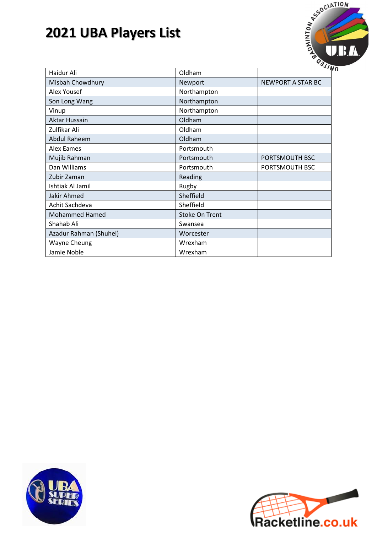

| Haidur Ali             | Oldham                | $\cdot$                  |
|------------------------|-----------------------|--------------------------|
| Misbah Chowdhury       | Newport               | <b>NEWPORT A STAR BC</b> |
| <b>Alex Yousef</b>     | Northampton           |                          |
| Son Long Wang          | Northampton           |                          |
| Vinup                  | Northampton           |                          |
| Aktar Hussain          | Oldham                |                          |
| Zulfikar Ali           | Oldham                |                          |
| <b>Abdul Raheem</b>    | Oldham                |                          |
| Alex Eames             | Portsmouth            |                          |
| Mujib Rahman           | Portsmouth            | PORTSMOUTH BSC           |
| Dan Williams           | Portsmouth            | PORTSMOUTH BSC           |
| Zubir Zaman            | Reading               |                          |
| Ishtiak Al Jamil       | Rugby                 |                          |
| <b>Jakir Ahmed</b>     | Sheffield             |                          |
| Achit Sachdeva         | Sheffield             |                          |
| <b>Mohammed Hamed</b>  | <b>Stoke On Trent</b> |                          |
| Shahab Ali             | Swansea               |                          |
| Azadur Rahman (Shuhel) | Worcester             |                          |
| <b>Wayne Cheung</b>    | Wrexham               |                          |
| Jamie Noble            | Wrexham               |                          |



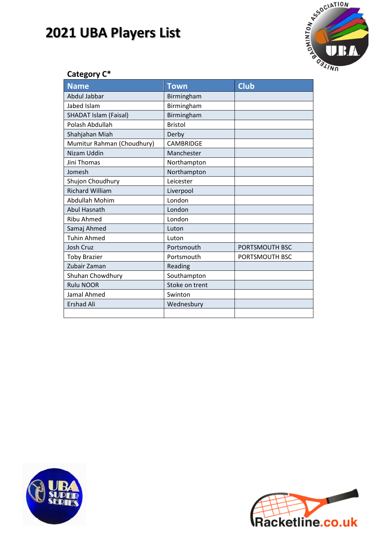

### **Category C\***

| <b>Name</b>                  | <b>Town</b>      | <b>Club</b>    |
|------------------------------|------------------|----------------|
| Abdul Jabbar                 | Birmingham       |                |
| Jabed Islam                  | Birmingham       |                |
| <b>SHADAT Islam (Faisal)</b> | Birmingham       |                |
| Polash Abdullah              | <b>Bristol</b>   |                |
| Shahjahan Miah               | Derby            |                |
| Mumitur Rahman (Choudhury)   | <b>CAMBRIDGE</b> |                |
| <b>Nizam Uddin</b>           | Manchester       |                |
| Jini Thomas                  | Northampton      |                |
| Jomesh                       | Northampton      |                |
| Shujon Choudhury             | Leicester        |                |
| <b>Richard William</b>       | Liverpool        |                |
| Abdullah Mohim               | London           |                |
| <b>Abul Hasnath</b>          | London           |                |
| <b>Ribu Ahmed</b>            | London           |                |
| Samaj Ahmed                  | Luton            |                |
| <b>Tuhin Ahmed</b>           | Luton            |                |
| <b>Josh Cruz</b>             | Portsmouth       | PORTSMOUTH BSC |
| <b>Toby Brazier</b>          | Portsmouth       | PORTSMOUTH BSC |
| Zubair Zaman                 | Reading          |                |
| Shuhan Chowdhury             | Southampton      |                |
| <b>Rulu NOOR</b>             | Stoke on trent   |                |
| Jamal Ahmed                  | Swinton          |                |
| <b>Ershad Ali</b>            | Wednesbury       |                |
|                              |                  |                |



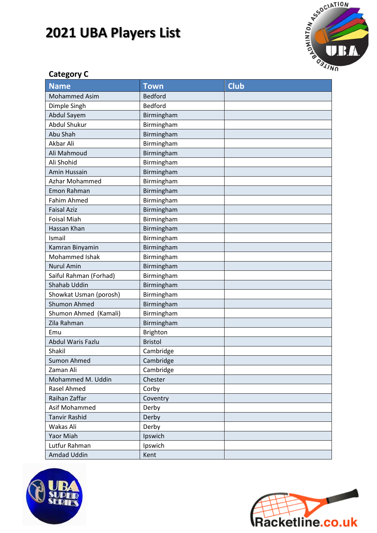

### **Category C**

| <b>Name</b>            | <b>Town</b>     | <b>Club</b> |
|------------------------|-----------------|-------------|
| <b>Mohammed Asim</b>   | <b>Bedford</b>  |             |
| Dimple Singh           | <b>Bedford</b>  |             |
| Abdul Sayem            | Birmingham      |             |
| <b>Abdul Shukur</b>    | Birmingham      |             |
| Abu Shah               | Birmingham      |             |
| Akbar Ali              | Birmingham      |             |
| Ali Mahmoud            | Birmingham      |             |
| Ali Shohid             | Birmingham      |             |
| Amin Hussain           | Birmingham      |             |
| Azhar Mohammed         | Birmingham      |             |
| Emon Rahman            | Birmingham      |             |
| <b>Fahim Ahmed</b>     | Birmingham      |             |
| <b>Faisal Aziz</b>     | Birmingham      |             |
| <b>Foisal Miah</b>     | Birmingham      |             |
| Hassan Khan            | Birmingham      |             |
| Ismail                 | Birmingham      |             |
| Kamran Binyamin        | Birmingham      |             |
| Mohammed Ishak         | Birmingham      |             |
| <b>Nurul Amin</b>      | Birmingham      |             |
| Saiful Rahman (Forhad) | Birmingham      |             |
| Shahab Uddin           | Birmingham      |             |
| Showkat Usman (porosh) | Birmingham      |             |
| <b>Shumon Ahmed</b>    | Birmingham      |             |
| Shumon Ahmed (Kamali)  | Birmingham      |             |
| Zila Rahman            | Birmingham      |             |
| Emu                    | <b>Brighton</b> |             |
| Abdul Waris Fazlu      | <b>Bristol</b>  |             |
| Shakil                 | Cambridge       |             |
| <b>Sumon Ahmed</b>     | Cambridge       |             |
| Zaman Ali              | Cambridge       |             |
| Mohammed M. Uddin      | Chester         |             |
| Rasel Ahmed            | Corby           |             |
| Raihan Zaffar          | Coventry        |             |
| Asif Mohammed          | Derby           |             |
| <b>Tanvir Rashid</b>   | Derby           |             |
| Wakas Ali              | Derby           |             |
| Yaor Miah              | Ipswich         |             |
| Lutfur Rahman          | Ipswich         |             |
| Amdad Uddin            | Kent            |             |



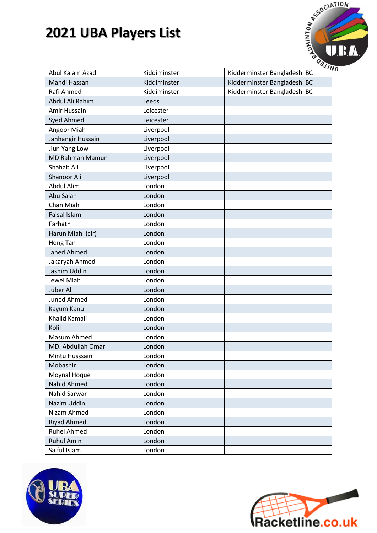

| Abul Kalam Azad        | Kiddiminster | Kidderminster Bangladeshi BC |
|------------------------|--------------|------------------------------|
| Mahdi Hassan           | Kiddiminster | Kidderminster Bangladeshi BC |
| Rafi Ahmed             | Kiddiminster | Kidderminster Bangladeshi BC |
| Abdul Ali Rahim        | Leeds        |                              |
| Amir Hussain           | Leicester    |                              |
| <b>Syed Ahmed</b>      | Leicester    |                              |
| Angoor Miah            | Liverpool    |                              |
| Janhangir Hussain      | Liverpool    |                              |
| Jiun Yang Low          | Liverpool    |                              |
| <b>MD Rahman Mamun</b> | Liverpool    |                              |
| Shahab Ali             | Liverpool    |                              |
| Shanoor Ali            | Liverpool    |                              |
| <b>Abdul Alim</b>      | London       |                              |
| Abu Salah              | London       |                              |
| Chan Miah              | London       |                              |
| <b>Faisal Islam</b>    | London       |                              |
| Farhath                | London       |                              |
| Harun Miah (clr)       | London       |                              |
| Hong Tan               | London       |                              |
| <b>Jahed Ahmed</b>     | London       |                              |
| Jakaryah Ahmed         | London       |                              |
| Jashim Uddin           | London       |                              |
| <b>Jewel Miah</b>      | London       |                              |
| Juber Ali              | London       |                              |
| <b>Juned Ahmed</b>     | London       |                              |
| Kayum Kanu             | London       |                              |
| Khalid Kamali          | London       |                              |
| Kolil                  | London       |                              |
| Masum Ahmed            | London       |                              |
| MD. Abdullah Omar      | London       |                              |
| Mintu Husssain         | London       |                              |
| Mobashir               | London       |                              |
| Moynal Hoque           | London       |                              |
| <b>Nahid Ahmed</b>     | London       |                              |
| Nahid Sarwar           | London       |                              |
| Nazim Uddin            | London       |                              |
| Nizam Ahmed            | London       |                              |
| <b>Riyad Ahmed</b>     | London       |                              |
| <b>Ruhel Ahmed</b>     | London       |                              |
| <b>Ruhul Amin</b>      | London       |                              |
| Saiful Islam           | London       |                              |



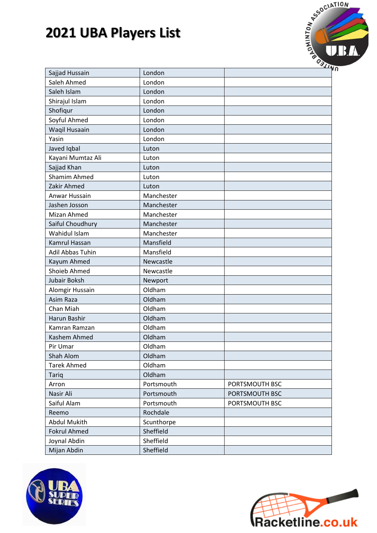

| Sajjad Hussain       | London     |                |
|----------------------|------------|----------------|
| Saleh Ahmed          | London     |                |
| Saleh Islam          | London     |                |
| Shirajul Islam       | London     |                |
| Shofiqur             | London     |                |
| Soyful Ahmed         | London     |                |
| Waqil Husaain        | London     |                |
| Yasin                | London     |                |
| Javed Iqbal          | Luton      |                |
| Kayani Mumtaz Ali    | Luton      |                |
| Sajjad Khan          | Luton      |                |
| Shamim Ahmed         | Luton      |                |
| Zakir Ahmed          | Luton      |                |
| Anwar Hussain        | Manchester |                |
| Jashen Josson        | Manchester |                |
| Mizan Ahmed          | Manchester |                |
| Saiful Choudhury     | Manchester |                |
| Wahidul Islam        | Manchester |                |
| <b>Kamrul Hassan</b> | Mansfield  |                |
| Adil Abbas Tuhin     | Mansfield  |                |
| Kayum Ahmed          | Newcastle  |                |
| <b>Shoieb Ahmed</b>  | Newcastle  |                |
| Jubair Boksh         | Newport    |                |
| Alomgir Hussain      | Oldham     |                |
| Asim Raza            | Oldham     |                |
| Chan Miah            | Oldham     |                |
| Harun Bashir         | Oldham     |                |
| Kamran Ramzan        | Oldham     |                |
| Kashem Ahmed         | Oldham     |                |
| Pir Umar             | Oldham     |                |
| Shah Alom            | Oldham     |                |
| <b>Tarek Ahmed</b>   | Oldham     |                |
| <b>Tariq</b>         | Oldham     |                |
| Arron                | Portsmouth | PORTSMOUTH BSC |
| Nasir Ali            | Portsmouth | PORTSMOUTH BSC |
| Saiful Alam          | Portsmouth | PORTSMOUTH BSC |
| Reemo                | Rochdale   |                |
| <b>Abdul Mukith</b>  | Scunthorpe |                |
| <b>Fokrul Ahmed</b>  | Sheffield  |                |
| Joynal Abdin         | Sheffield  |                |
| Mijan Abdin          | Sheffield  |                |



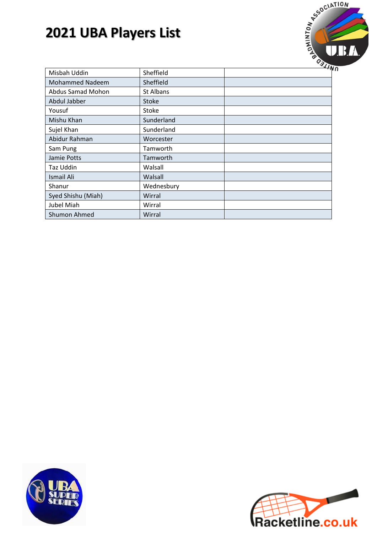

|                        |              | ≺ / / |
|------------------------|--------------|-------|
| Misbah Uddin           | Sheffield    |       |
| <b>Mohammed Nadeem</b> | Sheffield    |       |
| Abdus Samad Mohon      | St Albans    |       |
| Abdul Jabber           | <b>Stoke</b> |       |
| Yousuf                 | <b>Stoke</b> |       |
| Mishu Khan             | Sunderland   |       |
| Sujel Khan             | Sunderland   |       |
| Abidur Rahman          | Worcester    |       |
| Sam Pung               | Tamworth     |       |
| Jamie Potts            | Tamworth     |       |
| Taz Uddin              | Walsall      |       |
| <b>Ismail Ali</b>      | Walsall      |       |
| Shanur                 | Wednesbury   |       |
| Syed Shishu (Miah)     | Wirral       |       |
| Jubel Miah             | Wirral       |       |
| Shumon Ahmed           | Wirral       |       |



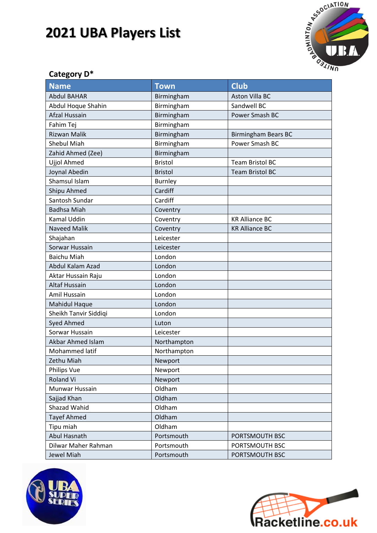

### **Category D\***

| <b>Name</b>           | <b>Town</b>    | <b>Club</b>                |
|-----------------------|----------------|----------------------------|
| <b>Abdul BAHAR</b>    | Birmingham     | <b>Aston Villa BC</b>      |
| Abdul Hoque Shahin    | Birmingham     | Sandwell BC                |
| Afzal Hussain         | Birmingham     | Power Smash BC             |
| Fahim Tej             | Birmingham     |                            |
| <b>Rizwan Malik</b>   | Birmingham     | <b>Birmingham Bears BC</b> |
| <b>Shebul Miah</b>    | Birmingham     | Power Smash BC             |
| Zahid Ahmed (Zee)     | Birmingham     |                            |
| Ujjol Ahmed           | <b>Bristol</b> | <b>Team Bristol BC</b>     |
| Joynal Abedin         | <b>Bristol</b> | <b>Team Bristol BC</b>     |
| <b>Shamsul Islam</b>  | <b>Burnley</b> |                            |
| Shipu Ahmed           | Cardiff        |                            |
| Santosh Sundar        | Cardiff        |                            |
| <b>Badhsa Miah</b>    | Coventry       |                            |
| <b>Kamal Uddin</b>    | Coventry       | <b>KR Alliance BC</b>      |
| <b>Naveed Malik</b>   | Coventry       | <b>KR Alliance BC</b>      |
| Shajahan              | Leicester      |                            |
| Sorwar Hussain        | Leicester      |                            |
| <b>Baichu Miah</b>    | London         |                            |
| Abdul Kalam Azad      | London         |                            |
| Aktar Hussain Raju    | London         |                            |
| <b>Altaf Hussain</b>  | London         |                            |
| Amil Hussain          | London         |                            |
| <b>Mahidul Haque</b>  | London         |                            |
| Sheikh Tanvir Siddiqi | London         |                            |
| <b>Syed Ahmed</b>     | Luton          |                            |
| Sorwar Hussain        | Leicester      |                            |
| Akbar Ahmed Islam     | Northampton    |                            |
| Mohammed latif        | Northampton    |                            |
| Zethu Miah            | Newport        |                            |
| Philips Vue           | Newport        |                            |
| Roland Vi             | Newport        |                            |
| Munwar Hussain        | Oldham         |                            |
| Sajjad Khan           | Oldham         |                            |
| Shazad Wahid          | Oldham         |                            |
| <b>Tayef Ahmed</b>    | Oldham         |                            |
| Tipu miah             | Oldham         |                            |
| Abul Hasnath          | Portsmouth     | PORTSMOUTH BSC             |
| Dilwar Maher Rahman   | Portsmouth     | PORTSMOUTH BSC             |
| Jewel Miah            | Portsmouth     | PORTSMOUTH BSC             |



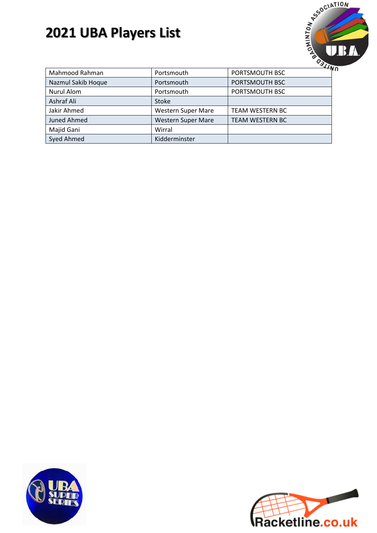

| Mahmood Rahman     | Portsmouth                | $\cdot$ TV<br>PORTSMOUTH BSC |
|--------------------|---------------------------|------------------------------|
| Nazmul Sakib Hoque | Portsmouth                | PORTSMOUTH BSC               |
| Nurul Alom         | Portsmouth                | PORTSMOUTH BSC               |
| Ashraf Ali         | Stoke                     |                              |
| Jakir Ahmed        | <b>Western Super Mare</b> | <b>TEAM WESTERN BC</b>       |
| <b>Juned Ahmed</b> | <b>Western Super Mare</b> | <b>TEAM WESTERN BC</b>       |
| Majid Gani         | Wirral                    |                              |
| Syed Ahmed         | Kidderminster             |                              |



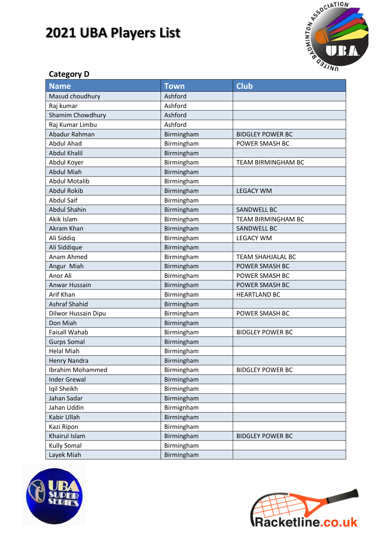

#### **Category D**

| <b>Name</b>          | <b>Town</b> | <b>Club</b>               |
|----------------------|-------------|---------------------------|
| Masud choudhury      | Ashford     |                           |
| Raj kumar            | Ashford     |                           |
| Shamim Chowdhury     | Ashford     |                           |
| Raj Kumar Limbu      | Ashford     |                           |
| Abadur Rahman        | Birmingham  | <b>BIDGLEY POWER BC</b>   |
| <b>Abdul Ahad</b>    | Birmingham  | <b>POWER SMASH BC</b>     |
| <b>Abdul Khalil</b>  | Birmingham  |                           |
| Abdul Koyer          | Birmingham  | TEAM BIRMINGHAM BC        |
| <b>Abdul Miah</b>    | Birmingham  |                           |
| <b>Abdul Motalib</b> | Birmingham  |                           |
| <b>Abdul Rokib</b>   | Birmingham  | <b>LEGACY WM</b>          |
| <b>Abdul Saif</b>    | Birmingham  |                           |
| <b>Abdul Shahin</b>  | Birmingham  | SANDWELL BC               |
| Akik Islam           | Birmingham  | <b>TEAM BIRMINGHAM BC</b> |
| Akram Khan           | Birmingham  | SANDWELL BC               |
| Ali Siddiq           | Birmingham  | <b>LEGACY WM</b>          |
| Ali Siddique         | Birmingham  |                           |
| Anam Ahmed           | Birmingham  | <b>TEAM SHAHJALAL BC</b>  |
| Angur Miah           | Birmingham  | POWER SMASH BC            |
| Anor Ali             | Birmingham  | POWER SMASH BC            |
| Anwar Hussain        | Birmingham  | POWER SMASH BC            |
| Arif Khan            | Birmingham  | <b>HEARTLAND BC</b>       |
| <b>Ashraf Shahid</b> | Birmingham  |                           |
| Dilwor Hussain Dipu  | Birmingham  | POWER SMASH BC            |
| Don Miah             | Birmingham  |                           |
| <b>Faisall Wahab</b> | Birmingham  | <b>BIDGLEY POWER BC</b>   |
| <b>Gurps Somal</b>   | Birmingham  |                           |
| <b>Helal Miah</b>    | Birmingham  |                           |
| <b>Henry Nandra</b>  | Birmingham  |                           |
| Ibrahim Mohammed     | Birmingham  | <b>BIDGLEY POWER BC</b>   |
| <b>Inder Grewal</b>  | Birmingham  |                           |
| Iqil Sheikh          | Birmingham  |                           |
| Jahan Sadar          | Birmingham  |                           |
| Jahan Uddin          | Birmignham  |                           |
| Kabir Ullah          | Birmingham  |                           |
| Kazi Ripon           | Birmingham  |                           |
| Khairul Islam        | Birmingham  | <b>BIDGLEY POWER BC</b>   |
| <b>Kully Somal</b>   | Birmingham  |                           |
| Layek Miah           | Birmingham  |                           |



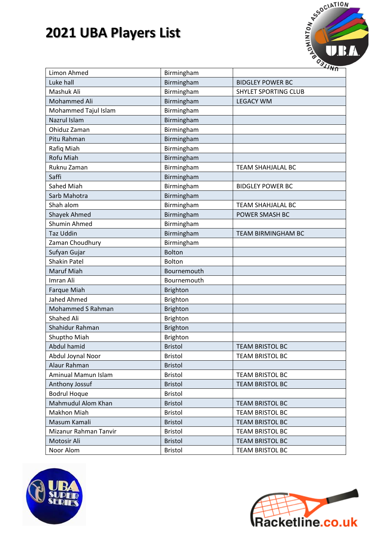

| Limon Ahmed           | Birmingham      |                             |
|-----------------------|-----------------|-----------------------------|
| Luke hall             | Birmingham      | <b>BIDGLEY POWER BC</b>     |
| Mashuk Ali            | Birmingham      | <b>SHYLET SPORTING CLUB</b> |
| Mohammed Ali          | Birmingham      | <b>LEGACY WM</b>            |
| Mohammed Tajul Islam  | Birmingham      |                             |
| Nazrul Islam          | Birmingham      |                             |
| Ohiduz Zaman          | Birmingham      |                             |
| Pitu Rahman           | Birmingham      |                             |
| Rafiq Miah            | Birmingham      |                             |
| <b>Rofu Miah</b>      | Birmingham      |                             |
| Ruknu Zaman           | Birmingham      | <b>TEAM SHAHJALAL BC</b>    |
| Saffi                 | Birmingham      |                             |
| Sahed Miah            | Birmingham      | <b>BIDGLEY POWER BC</b>     |
| Sarb Mahotra          | Birmingham      |                             |
| Shah alom             | Birmingham      | <b>TEAM SHAHJALAL BC</b>    |
| <b>Shayek Ahmed</b>   | Birmingham      | POWER SMASH BC              |
| Shumin Ahmed          | Birmingham      |                             |
| <b>Taz Uddin</b>      | Birmingham      | <b>TEAM BIRMINGHAM BC</b>   |
| Zaman Choudhury       | Birmingham      |                             |
| Sufyan Gujar          | <b>Bolton</b>   |                             |
| <b>Shakin Patel</b>   | Bolton          |                             |
| Maruf Miah            | Bournemouth     |                             |
| Imran Ali             | Bournemouth     |                             |
| <b>Farque Miah</b>    | <b>Brighton</b> |                             |
| Jahed Ahmed           | <b>Brighton</b> |                             |
| Mohammed S Rahman     | Brighton        |                             |
| Shahed Ali            | <b>Brighton</b> |                             |
| Shahidur Rahman       | <b>Brighton</b> |                             |
| Shuptho Miah          | <b>Brighton</b> |                             |
| Abdul hamid           | <b>Bristol</b>  | <b>TEAM BRISTOL BC</b>      |
| Abdul Joynal Noor     | <b>Bristol</b>  | TEAM BRISTOL BC             |
| Alaur Rahman          | <b>Bristol</b>  |                             |
| Aminual Mamun Islam   | <b>Bristol</b>  | <b>TEAM BRISTOL BC</b>      |
| Anthony Jossuf        | <b>Bristol</b>  | <b>TEAM BRISTOL BC</b>      |
| <b>Bodrul Hoque</b>   | <b>Bristol</b>  |                             |
| Mahmudul Alom Khan    | <b>Bristol</b>  | <b>TEAM BRISTOL BC</b>      |
| Makhon Miah           | <b>Bristol</b>  | <b>TEAM BRISTOL BC</b>      |
| Masum Kamali          | <b>Bristol</b>  | <b>TEAM BRISTOL BC</b>      |
| Mizanur Rahman Tanvir | <b>Bristol</b>  | <b>TEAM BRISTOL BC</b>      |
| Motosir Ali           | <b>Bristol</b>  | <b>TEAM BRISTOL BC</b>      |
| Noor Alom             | <b>Bristol</b>  | TEAM BRISTOL BC             |



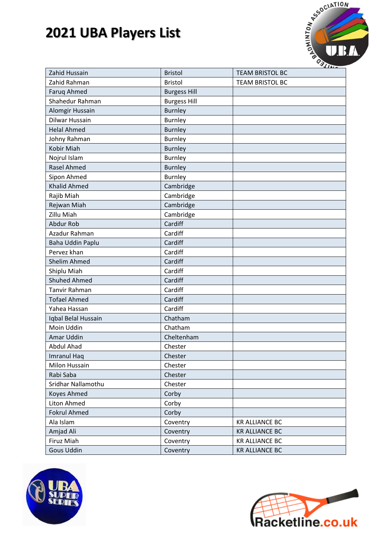

| Zahid Hussain       | <b>Bristol</b>      | <b>TEAM BRISTOL BC</b> |
|---------------------|---------------------|------------------------|
| Zahid Rahman        | <b>Bristol</b>      | <b>TEAM BRISTOL BC</b> |
| Faruq Ahmed         | <b>Burgess Hill</b> |                        |
| Shahedur Rahman     | <b>Burgess Hill</b> |                        |
| Alomgir Hussain     | <b>Burnley</b>      |                        |
| Dilwar Hussain      | <b>Burnley</b>      |                        |
| <b>Helal Ahmed</b>  | <b>Burnley</b>      |                        |
| Johny Rahman        | <b>Burnley</b>      |                        |
| Kobir Miah          | <b>Burnley</b>      |                        |
| Nojrul Islam        | <b>Burnley</b>      |                        |
| <b>Rasel Ahmed</b>  | <b>Burnley</b>      |                        |
| Sipon Ahmed         | <b>Burnley</b>      |                        |
| <b>Khalid Ahmed</b> | Cambridge           |                        |
| Rajib Miah          | Cambridge           |                        |
| Rejwan Miah         | Cambridge           |                        |
| Zillu Miah          | Cambridge           |                        |
| <b>Abdur Rob</b>    | Cardiff             |                        |
| Azadur Rahman       | Cardiff             |                        |
| Baha Uddin Paplu    | Cardiff             |                        |
| Pervez khan         | Cardiff             |                        |
| <b>Shelim Ahmed</b> | Cardiff             |                        |
| Shiplu Miah         | Cardiff             |                        |
| <b>Shuhed Ahmed</b> | Cardiff             |                        |
| Tanvir Rahman       | Cardiff             |                        |
| <b>Tofael Ahmed</b> | Cardiff             |                        |
| Yahea Hassan        | Cardiff             |                        |
| Iqbal Belal Hussain | Chatham             |                        |
| Moin Uddin          | Chatham             |                        |
| Amar Uddin          | Cheltenham          |                        |
| Abdul Ahad          | Chester             |                        |
| <b>Imranul Haq</b>  | Chester             |                        |
| Milon Hussain       | Chester             |                        |
| Rabi Saba           | Chester             |                        |
| Sridhar Nallamothu  | Chester             |                        |
| Koyes Ahmed         | Corby               |                        |
| Liton Ahmed         | Corby               |                        |
| <b>Fokrul Ahmed</b> | Corby               |                        |
| Ala Islam           | Coventry            | <b>KR ALLIANCE BC</b>  |
| Amjad Ali           | Coventry            | <b>KR ALLIANCE BC</b>  |
| Firuz Miah          | Coventry            | <b>KR ALLIANCE BC</b>  |
| <b>Gous Uddin</b>   | Coventry            | <b>KR ALLIANCE BC</b>  |
|                     |                     |                        |



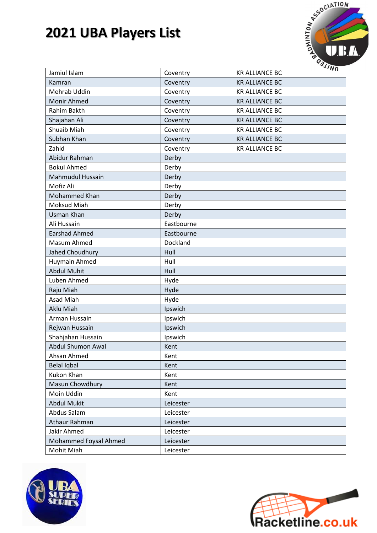

| Jamiul Islam            | Coventry   | <b>KR ALLIANCE BC</b> |
|-------------------------|------------|-----------------------|
| Kamran                  | Coventry   | <b>KR ALLIANCE BC</b> |
| Mehrab Uddin            | Coventry   | <b>KR ALLIANCE BC</b> |
| Monir Ahmed             | Coventry   | <b>KR ALLIANCE BC</b> |
| Rahim Bakth             | Coventry   | <b>KR ALLIANCE BC</b> |
| Shajahan Ali            | Coventry   | <b>KR ALLIANCE BC</b> |
| Shuaib Miah             | Coventry   | <b>KR ALLIANCE BC</b> |
| Subhan Khan             | Coventry   | <b>KR ALLIANCE BC</b> |
| Zahid                   | Coventry   | <b>KR ALLIANCE BC</b> |
| Abidur Rahman           | Derby      |                       |
| <b>Bokul Ahmed</b>      | Derby      |                       |
| <b>Mahmudul Hussain</b> | Derby      |                       |
| Mofiz Ali               | Derby      |                       |
| Mohammed Khan           | Derby      |                       |
| <b>Moksud Miah</b>      | Derby      |                       |
| Usman Khan              | Derby      |                       |
| Ali Hussain             | Eastbourne |                       |
| <b>Earshad Ahmed</b>    | Eastbourne |                       |
| Masum Ahmed             | Dockland   |                       |
| Jahed Choudhury         | Hull       |                       |
| Huymain Ahmed           | Hull       |                       |
| <b>Abdul Muhit</b>      | Hull       |                       |
| Luben Ahmed             | Hyde       |                       |
| Raju Miah               | Hyde       |                       |
| Asad Miah               | Hyde       |                       |
| Aklu Miah               | Ipswich    |                       |
| Arman Hussain           | Ipswich    |                       |
| Rejwan Hussain          | Ipswich    |                       |
| Shahjahan Hussain       | Ipswich    |                       |
| Abdul Shumon Awal       | Kent       |                       |
| Ahsan Ahmed             | Kent       |                       |
| <b>Belal Iqbal</b>      | Kent       |                       |
| Kukon Khan              | Kent       |                       |
| Masun Chowdhury         | Kent       |                       |
| Moin Uddin              | Kent       |                       |
| <b>Abdul Mukit</b>      | Leicester  |                       |
| Abdus Salam             | Leicester  |                       |
| Athaur Rahman           | Leicester  |                       |
| Jakir Ahmed             | Leicester  |                       |
| Mohammed Foysal Ahmed   | Leicester  |                       |
| Mohit Miah              | Leicester  |                       |
|                         |            |                       |



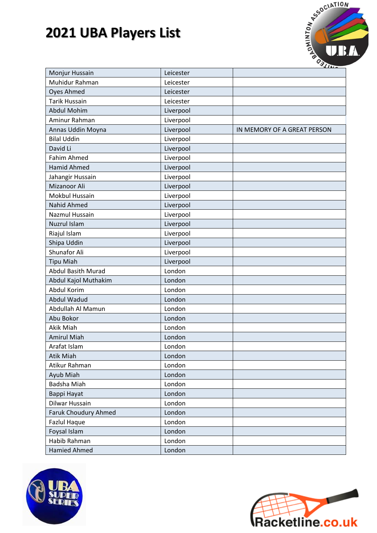

| Monjur Hussain              | Leicester |                             |
|-----------------------------|-----------|-----------------------------|
| Muhidur Rahman              | Leicester |                             |
| <b>Oyes Ahmed</b>           | Leicester |                             |
| <b>Tarik Hussain</b>        | Leicester |                             |
| Abdul Mohim                 | Liverpool |                             |
| Aminur Rahman               | Liverpool |                             |
| Annas Uddin Moyna           | Liverpool | IN MEMORY OF A GREAT PERSON |
| <b>Bilal Uddin</b>          | Liverpool |                             |
| David Li                    | Liverpool |                             |
| <b>Fahim Ahmed</b>          | Liverpool |                             |
| <b>Hamid Ahmed</b>          | Liverpool |                             |
| Jahangir Hussain            | Liverpool |                             |
| Mizanoor Ali                | Liverpool |                             |
| <b>Mokbul Hussain</b>       | Liverpool |                             |
| <b>Nahid Ahmed</b>          | Liverpool |                             |
| <b>Nazmul Hussain</b>       | Liverpool |                             |
| Nuzrul Islam                | Liverpool |                             |
| Riajul Islam                | Liverpool |                             |
| Shipa Uddin                 | Liverpool |                             |
| Shunafor Ali                | Liverpool |                             |
| <b>Tipu Miah</b>            | Liverpool |                             |
| <b>Abdul Basith Murad</b>   | London    |                             |
| Abdul Kajol Muthakim        | London    |                             |
| <b>Abdul Korim</b>          | London    |                             |
| <b>Abdul Wadud</b>          | London    |                             |
| Abdullah Al Mamun           | London    |                             |
| Abu Bokor                   | London    |                             |
| Akik Miah                   | London    |                             |
| <b>Amirul Miah</b>          | London    |                             |
| Arafat Islam                | London    |                             |
| Atik Miah                   | London    |                             |
| Atikur Rahman               | London    |                             |
| Ayub Miah                   | London    |                             |
| Badsha Miah                 | London    |                             |
| Bappi Hayat                 | London    |                             |
| Dilwar Hussain              | London    |                             |
| <b>Faruk Choudury Ahmed</b> | London    |                             |
| <b>Fazlul Haque</b>         | London    |                             |
| Foysal Islam                | London    |                             |
| Habib Rahman                | London    |                             |
| <b>Hamied Ahmed</b>         | London    |                             |



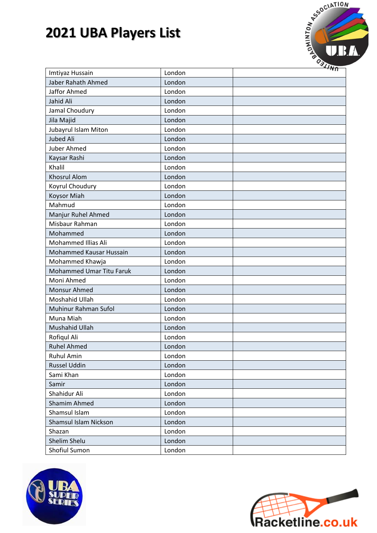

| Imtiyaz Hussain                 | London | $\cdots$ |
|---------------------------------|--------|----------|
| Jaber Rahath Ahmed              | London |          |
| Jaffor Ahmed                    | London |          |
| Jahid Ali                       | London |          |
| Jamal Choudury                  | London |          |
| Jila Majid                      | London |          |
| Jubayrul Islam Miton            | London |          |
| Jubed Ali                       | London |          |
| Juber Ahmed                     | London |          |
| Kaysar Rashi                    | London |          |
| Khalil                          | London |          |
| <b>Khosrul Alom</b>             | London |          |
| Koyrul Choudury                 | London |          |
| <b>Koysor Miah</b>              | London |          |
| Mahmud                          | London |          |
| Manjur Ruhel Ahmed              | London |          |
| Misbaur Rahman                  | London |          |
| Mohammed                        | London |          |
| <b>Mohammed Illias Ali</b>      | London |          |
| Mohammed Kausar Hussain         | London |          |
| Mohammed Khawja                 | London |          |
| <b>Mohammed Umar Titu Faruk</b> | London |          |
| Moni Ahmed                      | London |          |
| Monsur Ahmed                    | London |          |
| Moshahid Ullah                  | London |          |
| Muhinur Rahman Sufol            | London |          |
| Muna Miah                       | London |          |
| Mushahid Ullah                  | London |          |
| Rofiqul Ali                     | London |          |
| <b>Ruhel Ahmed</b>              | London |          |
| <b>Ruhul Amin</b>               | London |          |
| <b>Russel Uddin</b>             | London |          |
| Sami Khan                       | London |          |
| Samir                           | London |          |
| Shahidur Ali                    | London |          |
| Shamim Ahmed                    | London |          |
| Shamsul Islam                   | London |          |
| Shamsul Islam Nickson           | London |          |
| Shazan                          | London |          |
| Shelim Shelu                    | London |          |
| Shofiul Sumon                   | London |          |
|                                 |        |          |



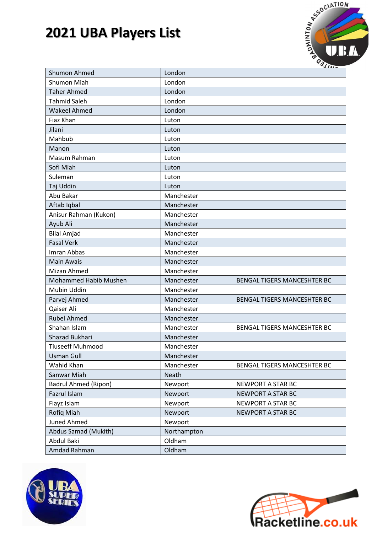

| <b>Shumon Ahmed</b>         | London       |                                    |
|-----------------------------|--------------|------------------------------------|
| <b>Shumon Miah</b>          | London       |                                    |
| <b>Taher Ahmed</b>          | London       |                                    |
| <b>Tahmid Saleh</b>         | London       |                                    |
| <b>Wakeel Ahmed</b>         | London       |                                    |
| Fiaz Khan                   | Luton        |                                    |
| Jilani                      | Luton        |                                    |
| Mahbub                      | Luton        |                                    |
| Manon                       | Luton        |                                    |
| Masum Rahman                | Luton        |                                    |
| Sofi Miah                   | Luton        |                                    |
| Suleman                     | Luton        |                                    |
| Taj Uddin                   | Luton        |                                    |
| Abu Bakar                   | Manchester   |                                    |
| Aftab Iqbal                 | Manchester   |                                    |
| Anisur Rahman (Kukon)       | Manchester   |                                    |
| Ayub Ali                    | Manchester   |                                    |
| <b>Bilal Amjad</b>          | Manchester   |                                    |
| <b>Fasal Verk</b>           | Manchester   |                                    |
| Imran Abbas                 | Manchester   |                                    |
| <b>Main Awais</b>           | Manchester   |                                    |
| Mizan Ahmed                 | Manchester   |                                    |
| Mohammed Habib Mushen       | Manchester   | <b>BENGAL TIGERS MANCESHTER BC</b> |
| Mubin Uddin                 | Manchester   |                                    |
| Parvej Ahmed                | Manchester   | <b>BENGAL TIGERS MANCESHTER BC</b> |
| Qaiser Ali                  | Manchester   |                                    |
| <b>Rubel Ahmed</b>          | Manchester   |                                    |
| Shahan Islam                | Manchester   | <b>BENGAL TIGERS MANCESHTER BC</b> |
| <b>Shazad Bukhari</b>       | Manchester   |                                    |
| <b>Tiuseeff Muhmood</b>     | Manchester   |                                    |
| <b>Usman Gull</b>           | Manchester   |                                    |
| Wahid Khan                  | Manchester   | BENGAL TIGERS MANCESHTER BC        |
| Sanwar Miah                 | <b>Neath</b> |                                    |
| <b>Badrul Ahmed (Ripon)</b> | Newport      | NEWPORT A STAR BC                  |
| Fazrul Islam                | Newport      | <b>NEWPORT A STAR BC</b>           |
| Fiayz Islam                 | Newport      | NEWPORT A STAR BC                  |
| Rofiq Miah                  | Newport      | NEWPORT A STAR BC                  |
| Juned Ahmed                 | Newport      |                                    |
| Abdus Samad (Mukith)        | Northampton  |                                    |
| Abdul Baki                  | Oldham       |                                    |
| Amdad Rahman                | Oldham       |                                    |



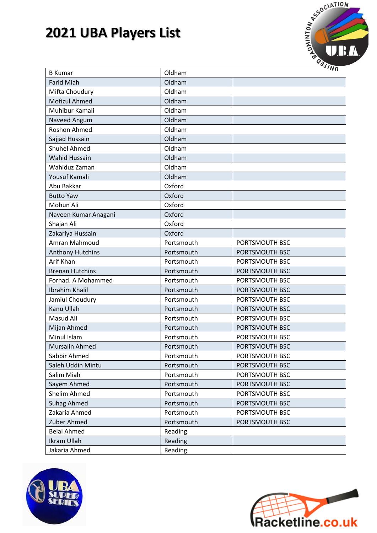

| <b>B</b> Kumar          | Oldham     |                |
|-------------------------|------------|----------------|
| <b>Farid Miah</b>       | Oldham     |                |
| Mifta Choudury          | Oldham     |                |
| Mofizul Ahmed           | Oldham     |                |
| Muhibur Kamali          | Oldham     |                |
| Naveed Angum            | Oldham     |                |
| <b>Roshon Ahmed</b>     | Oldham     |                |
| Sajjad Hussain          | Oldham     |                |
| <b>Shuhel Ahmed</b>     | Oldham     |                |
| <b>Wahid Hussain</b>    | Oldham     |                |
| Wahiduz Zaman           | Oldham     |                |
| Yousuf Kamali           | Oldham     |                |
| Abu Bakkar              | Oxford     |                |
| <b>Butto Yaw</b>        | Oxford     |                |
| Mohun Ali               | Oxford     |                |
| Naveen Kumar Anagani    | Oxford     |                |
| Shajan Ali              | Oxford     |                |
| Zakariya Hussain        | Oxford     |                |
| Amran Mahmoud           | Portsmouth | PORTSMOUTH BSC |
| <b>Anthony Hutchins</b> | Portsmouth | PORTSMOUTH BSC |
| Arif Khan               | Portsmouth | PORTSMOUTH BSC |
| <b>Brenan Hutchins</b>  | Portsmouth | PORTSMOUTH BSC |
| Forhad. A Mohammed      | Portsmouth | PORTSMOUTH BSC |
| Ibrahim Khalil          | Portsmouth | PORTSMOUTH BSC |
| Jamiul Choudury         | Portsmouth | PORTSMOUTH BSC |
| Kanu Ullah              | Portsmouth | PORTSMOUTH BSC |
| Masud Ali               | Portsmouth | PORTSMOUTH BSC |
| Mijan Ahmed             | Portsmouth | PORTSMOUTH BSC |
| Minul Islam             | Portsmouth | PORTSMOUTH BSC |
| Mursalin Ahmed          | Portsmouth | PORTSMOUTH BSC |
| Sabbir Ahmed            | Portsmouth | PORTSMOUTH BSC |
| Saleh Uddin Mintu       | Portsmouth | PORTSMOUTH BSC |
| Salim Miah              | Portsmouth | PORTSMOUTH BSC |
| Sayem Ahmed             | Portsmouth | PORTSMOUTH BSC |
| Shelim Ahmed            | Portsmouth | PORTSMOUTH BSC |
| <b>Suhag Ahmed</b>      | Portsmouth | PORTSMOUTH BSC |
| Zakaria Ahmed           | Portsmouth | PORTSMOUTH BSC |
| Zuber Ahmed             | Portsmouth | PORTSMOUTH BSC |
| <b>Belal Ahmed</b>      | Reading    |                |
| <b>Ikram Ullah</b>      | Reading    |                |
| Jakaria Ahmed           | Reading    |                |



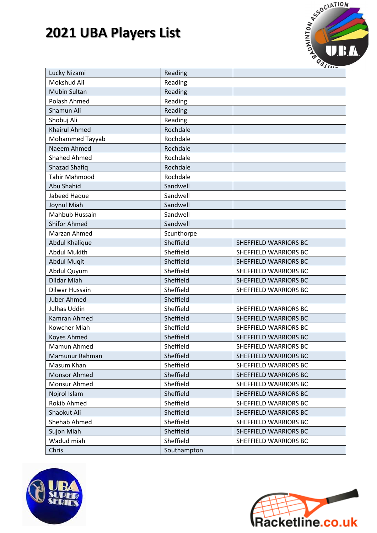

| Lucky Nizami          | Reading     |                              |
|-----------------------|-------------|------------------------------|
| Mokshud Ali           | Reading     |                              |
| <b>Mubin Sultan</b>   | Reading     |                              |
| Polash Ahmed          | Reading     |                              |
| Shamun Ali            | Reading     |                              |
| Shobuj Ali            | Reading     |                              |
| <b>Khairul Ahmed</b>  | Rochdale    |                              |
| Mohammed Tayyab       | Rochdale    |                              |
| Naeem Ahmed           | Rochdale    |                              |
| <b>Shahed Ahmed</b>   | Rochdale    |                              |
| <b>Shazad Shafiq</b>  | Rochdale    |                              |
| <b>Tahir Mahmood</b>  | Rochdale    |                              |
| Abu Shahid            | Sandwell    |                              |
| Jabeed Haque          | Sandwell    |                              |
| Joynul Miah           | Sandwell    |                              |
| Mahbub Hussain        | Sandwell    |                              |
| <b>Shifor Ahmed</b>   | Sandwell    |                              |
| Marzan Ahmed          | Scunthorpe  |                              |
| <b>Abdul Khalique</b> | Sheffield   | <b>SHEFFIELD WARRIORS BC</b> |
| <b>Abdul Mukith</b>   | Sheffield   | <b>SHEFFIELD WARRIORS BC</b> |
| <b>Abdul Mugit</b>    | Sheffield   | SHEFFIELD WARRIORS BC        |
| Abdul Quyum           | Sheffield   | SHEFFIELD WARRIORS BC        |
| <b>Dildar Miah</b>    | Sheffield   | SHEFFIELD WARRIORS BC        |
| Dilwar Hussain        | Sheffield   | SHEFFIELD WARRIORS BC        |
| <b>Juber Ahmed</b>    | Sheffield   |                              |
| Julhas Uddin          | Sheffield   | SHEFFIELD WARRIORS BC        |
| Kamran Ahmed          | Sheffield   | <b>SHEFFIELD WARRIORS BC</b> |
| Kowcher Miah          | Sheffield   | SHEFFIELD WARRIORS BC        |
| Koyes Ahmed           | Sheffield   | SHEFFIELD WARRIORS BC        |
| Mamun Ahmed           | Sheffield   | SHEFFIELD WARRIORS BC        |
| Mamunur Rahman        | Sheffield   | SHEFFIELD WARRIORS BC        |
| Masum Khan            | Sheffield   | SHEFFIELD WARRIORS BC        |
| <b>Monsor Ahmed</b>   | Sheffield   | SHEFFIELD WARRIORS BC        |
| Monsur Ahmed          | Sheffield   | SHEFFIELD WARRIORS BC        |
| Nojrol Islam          | Sheffield   | SHEFFIELD WARRIORS BC        |
| Rokib Ahmed           | Sheffield   | SHEFFIELD WARRIORS BC        |
| Shaokut Ali           | Sheffield   | SHEFFIELD WARRIORS BC        |
| Shehab Ahmed          | Sheffield   | SHEFFIELD WARRIORS BC        |
| <b>Sujon Miah</b>     | Sheffield   | SHEFFIELD WARRIORS BC        |
| Wadud miah            | Sheffield   | SHEFFIELD WARRIORS BC        |
| Chris                 | Southampton |                              |



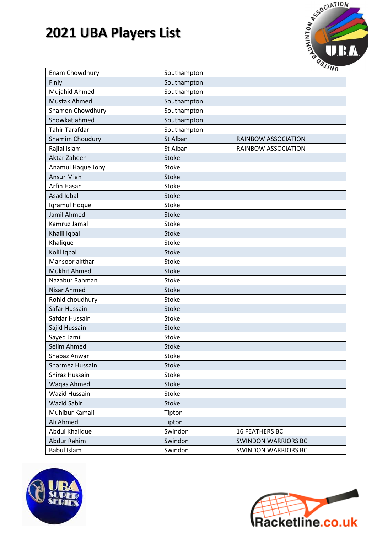

| Enam Chowdhury         | Southampton  |                            |
|------------------------|--------------|----------------------------|
| Finly                  | Southampton  |                            |
| Mujahid Ahmed          | Southampton  |                            |
| <b>Mustak Ahmed</b>    | Southampton  |                            |
| Shamon Chowdhury       | Southampton  |                            |
| Showkat ahmed          | Southampton  |                            |
| <b>Tahir Tarafdar</b>  | Southampton  |                            |
| <b>Shamim Choudury</b> | St Alban     | RAINBOW ASSOCIATION        |
| Rajial Islam           | St Alban     | RAINBOW ASSOCIATION        |
| Aktar Zaheen           | Stoke        |                            |
| Anamul Haque Jony      | Stoke        |                            |
| <b>Ansur Miah</b>      | Stoke        |                            |
| Arfin Hasan            | Stoke        |                            |
| Asad Iqbal             | <b>Stoke</b> |                            |
| Iqramul Hoque          | Stoke        |                            |
| Jamil Ahmed            | Stoke        |                            |
| Kamruz Jamal           | Stoke        |                            |
| Khalil Iqbal           | Stoke        |                            |
| Khalique               | Stoke        |                            |
| Kolil Iqbal            | Stoke        |                            |
| Mansoor akthar         | Stoke        |                            |
| <b>Mukhit Ahmed</b>    | Stoke        |                            |
| Nazabur Rahman         | Stoke        |                            |
| Nisar Ahmed            | Stoke        |                            |
| Rohid choudhury        | Stoke        |                            |
| Safar Hussain          | Stoke        |                            |
| Safdar Hussain         | Stoke        |                            |
| Sajid Hussain          | Stoke        |                            |
| Sayed Jamil            | Stoke        |                            |
| Selim Ahmed            | Stoke        |                            |
| Shabaz Anwar           | Stoke        |                            |
| Sharmez Hussain        | Stoke        |                            |
| Shiraz Hussain         | Stoke        |                            |
| Waqas Ahmed            | Stoke        |                            |
| Wazid Hussain          | Stoke        |                            |
| <b>Wazid Sabir</b>     | Stoke        |                            |
| Muhibur Kamali         | Tipton       |                            |
| Ali Ahmed              | Tipton       |                            |
| Abdul Khalique         | Swindon      | <b>16 FEATHERS BC</b>      |
| Abdur Rahim            | Swindon      | <b>SWINDON WARRIORS BC</b> |
| <b>Babul Islam</b>     | Swindon      | <b>SWINDON WARRIORS BC</b> |
|                        |              |                            |